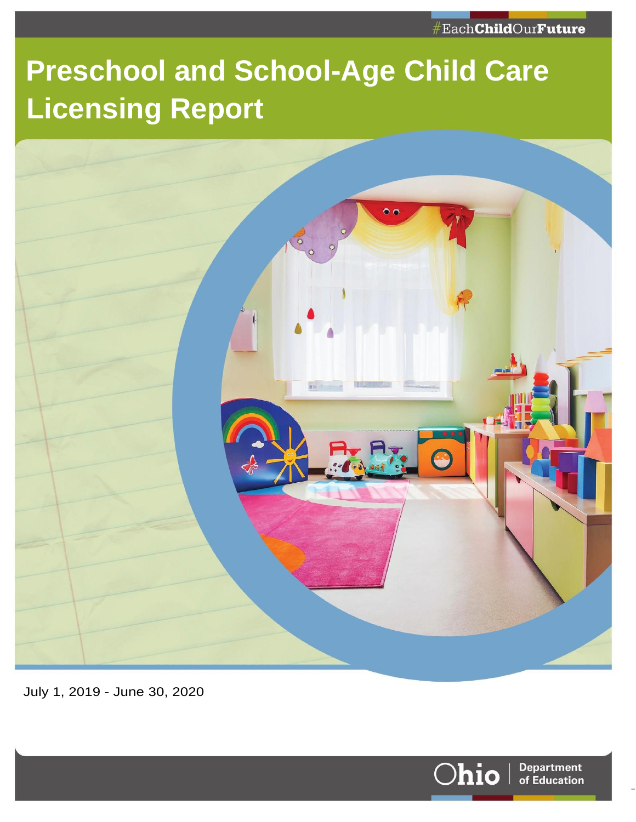# **Preschool and School-Age Child Care Licensing Report**



July 1, 2019 - June 30, 2020



Page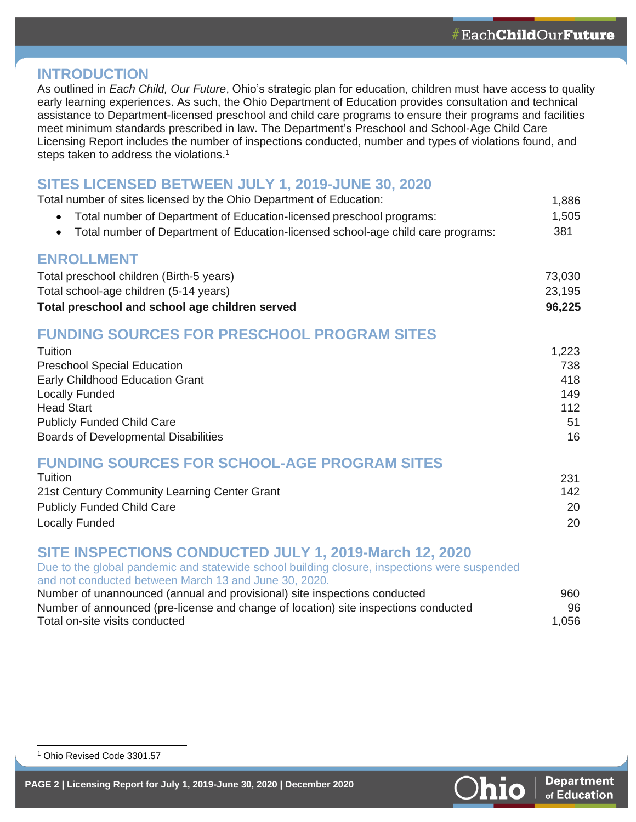#### **INTRODUCTION**

As outlined in *Each Child, Our Future*, Ohio's strategic plan for education, children must have access to quality early learning experiences. As such, the Ohio Department of Education provides consultation and technical assistance to Department-licensed preschool and child care programs to ensure their programs and facilities meet minimum standards prescribed in law. The Department's Preschool and School-Age Child Care Licensing Report includes the number of inspections conducted, number and types of violations found, and steps taken to address the violations.<sup>1</sup>

#### **SITES LICENSED BETWEEN JULY 1, 2019-JUNE 30, 2020**

| Total number of sites licensed by the Ohio Department of Education:                           | 1,886  |
|-----------------------------------------------------------------------------------------------|--------|
| Total number of Department of Education-licensed preschool programs:<br>$\bullet$             | 1,505  |
| Total number of Department of Education-licensed school-age child care programs:<br>$\bullet$ | 381    |
| <b>ENROLLMENT</b>                                                                             |        |
| Total preschool children (Birth-5 years)                                                      | 73,030 |
| Total school-age children (5-14 years)                                                        | 23,195 |
| Total preschool and school age children served                                                | 96,225 |
| <b>FUNDING SOURCES FOR PRESCHOOL PROGRAM SITES</b>                                            |        |
| Tuition                                                                                       | 1,223  |
| <b>Preschool Special Education</b>                                                            | 738    |
| Early Childhood Education Grant                                                               | 418    |
| <b>Locally Funded</b>                                                                         | 149    |
| <b>Head Start</b>                                                                             | 112    |
| <b>Publicly Funded Child Care</b>                                                             | 51     |
| <b>Boards of Developmental Disabilities</b>                                                   | 16     |
| <b>FUNDING SOURCES FOR SCHOOL-AGE PROGRAM SITES</b>                                           |        |
| Tuition                                                                                       | 231    |
| 21st Century Community Learning Center Grant                                                  | 142    |
| <b>Publicly Funded Child Care</b>                                                             | 20     |
| <b>Locally Funded</b>                                                                         | 20     |
| CITE INCOECTIONS CONDUCTED IIII V 4, 2010 Marsh 12, 2020                                      |        |

### **SITE INSPECTIONS CONDUCTED JULY 1, 2019-March 12, 2020**

Due to the global pandemic and statewide school building closure, inspections were suspended and not conducted between March 13 and June 30, 2020. Number of unannounced (annual and provisional) site inspections conducted 960 Number of announced (pre-license and change of location) site inspections conducted 96 Total on-site visits conducted 1,056

<sup>1</sup> Ohio Revised Code 3301.57



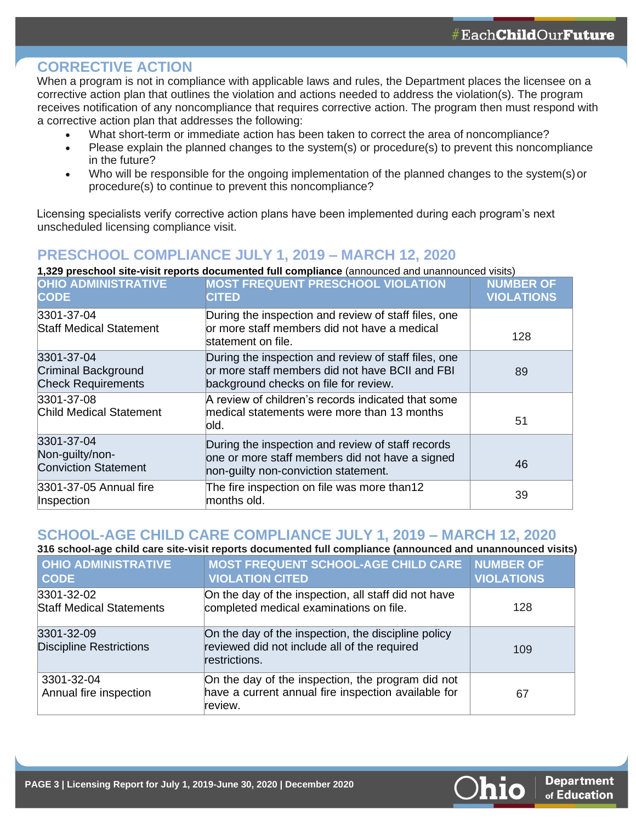#### **CORRECTIVE ACTION**

When a program is not in compliance with applicable laws and rules, the Department places the licensee on a corrective action plan that outlines the violation and actions needed to address the violation(s). The program receives notification of any noncompliance that requires corrective action. The program then must respond with a corrective action plan that addresses the following:

- What short-term or immediate action has been taken to correct the area of noncompliance?
- Please explain the planned changes to the system(s) or procedure(s) to prevent this noncompliance in the future?
- Who will be responsible for the ongoing implementation of the planned changes to the system(s)or procedure(s) to continue to prevent this noncompliance?

Licensing specialists verify corrective action plans have been implemented during each program's next unscheduled licensing compliance visit.

### **PRESCHOOL COMPLIANCE JULY 1, 2019 – MARCH 12, 2020**

**1,329 preschool site-visit reports documented full compliance** (announced and unannounced visits)

| <b>OHIO ADMINISTRATIVE</b><br><b>CODE</b>                             | <b>MOST FREQUENT PRESCHOOL VIOLATION</b><br><b>CITED</b>                                                                                         | <b>NUMBER OF</b><br><b>VIOLATIONS</b> |
|-----------------------------------------------------------------------|--------------------------------------------------------------------------------------------------------------------------------------------------|---------------------------------------|
| 3301-37-04<br><b>Staff Medical Statement</b>                          | During the inspection and review of staff files, one<br>or more staff members did not have a medical<br>statement on file.                       | 128                                   |
| 3301-37-04<br><b>Criminal Background</b><br><b>Check Requirements</b> | During the inspection and review of staff files, one<br>or more staff members did not have BCII and FBI<br>background checks on file for review. | 89                                    |
| 3301-37-08<br><b>Child Medical Statement</b>                          | A review of children's records indicated that some<br>medical statements were more than 13 months<br>lold.                                       | 51                                    |
| 3301-37-04<br>Non-guilty/non-<br><b>Conviction Statement</b>          | During the inspection and review of staff records<br>one or more staff members did not have a signed<br>non-guilty non-conviction statement.     | 46                                    |
| 3301-37-05 Annual fire<br>Inspection                                  | The fire inspection on file was more than12<br>months old.                                                                                       | 39                                    |

### **SCHOOL-AGE CHILD CARE COMPLIANCE JULY 1, 2019 – MARCH 12, 2020**

**316 school-age child care site-visit reports documented full compliance (announced and unannounced visits)**

| <b>OHIO ADMINISTRATIVE</b><br><b>CODE</b>     | <b>MOST FREQUENT SCHOOL-AGE CHILD CARE</b><br><b>VIOLATION CITED</b>                                                 | <b>NUMBER OF</b><br><b>VIOLATIONS</b> |
|-----------------------------------------------|----------------------------------------------------------------------------------------------------------------------|---------------------------------------|
| 3301-32-02<br><b>Staff Medical Statements</b> | On the day of the inspection, all staff did not have<br>completed medical examinations on file.                      | 128                                   |
| 3301-32-09<br><b>Discipline Restrictions</b>  | On the day of the inspection, the discipline policy<br>reviewed did not include all of the required<br>restrictions. | 109                                   |
| 3301-32-04<br>Annual fire inspection          | On the day of the inspection, the program did not<br>have a current annual fire inspection available for<br>review.  | 67                                    |

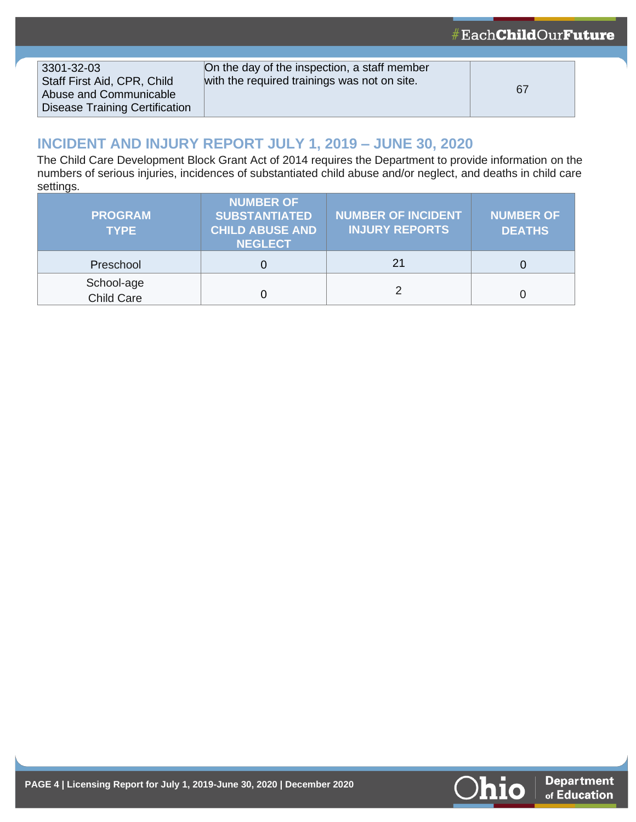| 3301-32-03<br>Staff First Aid, CPR, Child<br>Abuse and Communicable<br><b>Disease Training Certification</b> | On the day of the inspection, a staff member<br>with the required trainings was not on site. | 67 |
|--------------------------------------------------------------------------------------------------------------|----------------------------------------------------------------------------------------------|----|

## **INCIDENT AND INJURY REPORT JULY 1, 2019 – JUNE 30, 2020**

The Child Care Development Block Grant Act of 2014 requires the Department to provide information on the numbers of serious injuries, incidences of substantiated child abuse and/or neglect, and deaths in child care settings.

| <b>PROGRAM</b><br><b>TYPE</b> | <b>NUMBER OF</b><br><b>SUBSTANTIATED</b><br><b>CHILD ABUSE AND</b><br><b>NEGLECT</b> | <b>NUMBER OF INCIDENT</b><br><b>INJURY REPORTS</b> | <b>NUMBER OF</b><br><b>DEATHS</b> |
|-------------------------------|--------------------------------------------------------------------------------------|----------------------------------------------------|-----------------------------------|
| Preschool                     |                                                                                      | 21                                                 |                                   |
| School-age<br>Child Care      |                                                                                      |                                                    |                                   |



#EachChildOurFuture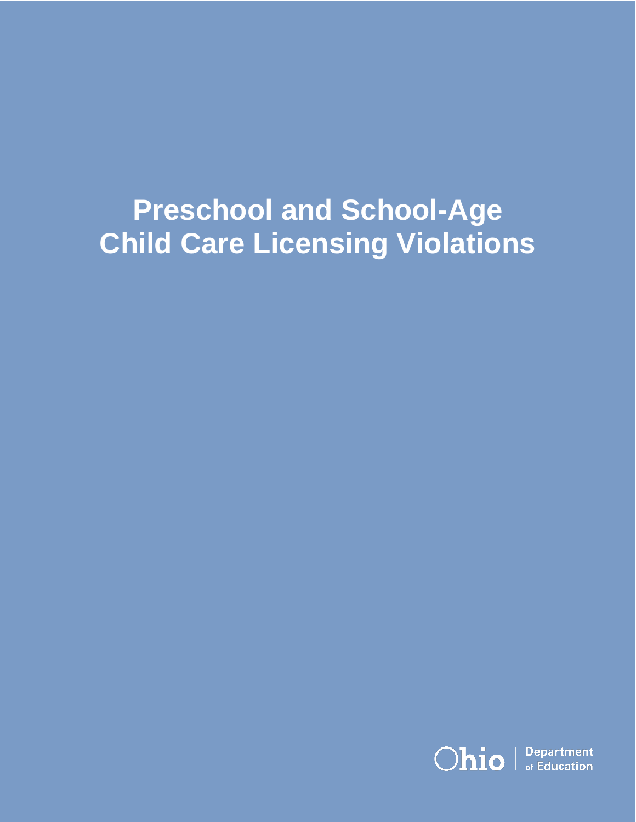# **Preschool and School-Age Child Care Licensing Violations**

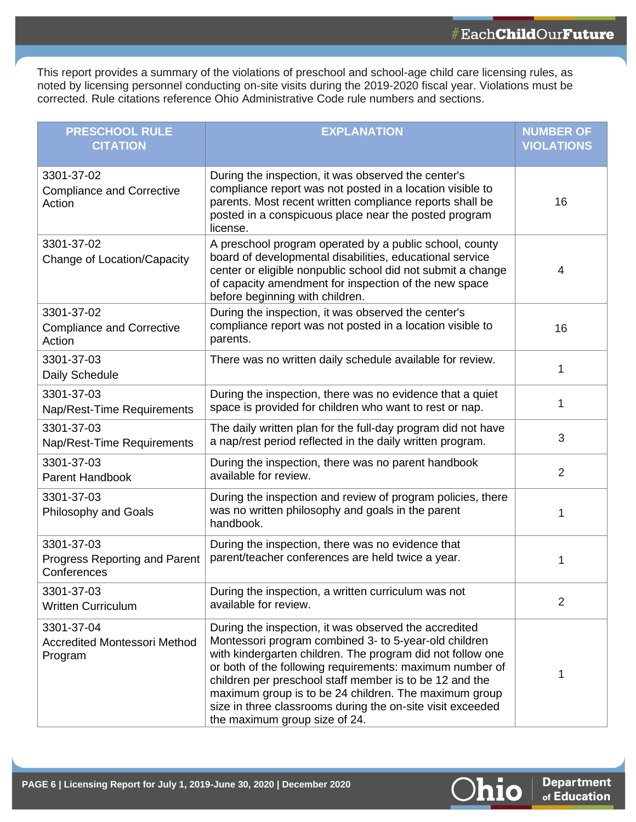This report provides a summary of the violations of preschool and school-age child care licensing rules, as noted by licensing personnel conducting on-site visits during the 2019-2020 fiscal year. Violations must be corrected. Rule citations reference Ohio Administrative Code rule numbers and sections.

| <b>PRESCHOOL RULE</b><br><b>CITATION</b>                     | <b>EXPLANATION</b>                                                                                                                                                                                                                                                                                                                                                                                                                                          | <b>NUMBER OF</b><br><b>VIOLATIONS</b> |
|--------------------------------------------------------------|-------------------------------------------------------------------------------------------------------------------------------------------------------------------------------------------------------------------------------------------------------------------------------------------------------------------------------------------------------------------------------------------------------------------------------------------------------------|---------------------------------------|
| 3301-37-02<br><b>Compliance and Corrective</b><br>Action     | During the inspection, it was observed the center's<br>compliance report was not posted in a location visible to<br>parents. Most recent written compliance reports shall be<br>posted in a conspicuous place near the posted program<br>license.                                                                                                                                                                                                           | 16                                    |
| 3301-37-02<br>Change of Location/Capacity                    | A preschool program operated by a public school, county<br>board of developmental disabilities, educational service<br>center or eligible nonpublic school did not submit a change<br>of capacity amendment for inspection of the new space<br>before beginning with children.                                                                                                                                                                              | 4                                     |
| 3301-37-02<br><b>Compliance and Corrective</b><br>Action     | During the inspection, it was observed the center's<br>compliance report was not posted in a location visible to<br>parents.                                                                                                                                                                                                                                                                                                                                | 16                                    |
| 3301-37-03<br>Daily Schedule                                 | There was no written daily schedule available for review.                                                                                                                                                                                                                                                                                                                                                                                                   | 1                                     |
| 3301-37-03<br>Nap/Rest-Time Requirements                     | During the inspection, there was no evidence that a quiet<br>space is provided for children who want to rest or nap.                                                                                                                                                                                                                                                                                                                                        | 1                                     |
| 3301-37-03<br>Nap/Rest-Time Requirements                     | The daily written plan for the full-day program did not have<br>a nap/rest period reflected in the daily written program.                                                                                                                                                                                                                                                                                                                                   | 3                                     |
| 3301-37-03<br><b>Parent Handbook</b>                         | During the inspection, there was no parent handbook<br>available for review.                                                                                                                                                                                                                                                                                                                                                                                | $\overline{2}$                        |
| 3301-37-03<br><b>Philosophy and Goals</b>                    | During the inspection and review of program policies, there<br>was no written philosophy and goals in the parent<br>handbook.                                                                                                                                                                                                                                                                                                                               | 1                                     |
| 3301-37-03<br>Progress Reporting and Parent<br>Conferences   | During the inspection, there was no evidence that<br>parent/teacher conferences are held twice a year.                                                                                                                                                                                                                                                                                                                                                      | 1                                     |
| 3301-37-03<br><b>Written Curriculum</b>                      | During the inspection, a written curriculum was not<br>available for review.                                                                                                                                                                                                                                                                                                                                                                                | 2                                     |
| 3301-37-04<br><b>Accredited Montessori Method</b><br>Program | During the inspection, it was observed the accredited<br>Montessori program combined 3- to 5-year-old children<br>with kindergarten children. The program did not follow one<br>or both of the following requirements: maximum number of<br>children per preschool staff member is to be 12 and the<br>maximum group is to be 24 children. The maximum group<br>size in three classrooms during the on-site visit exceeded<br>the maximum group size of 24. | 1                                     |

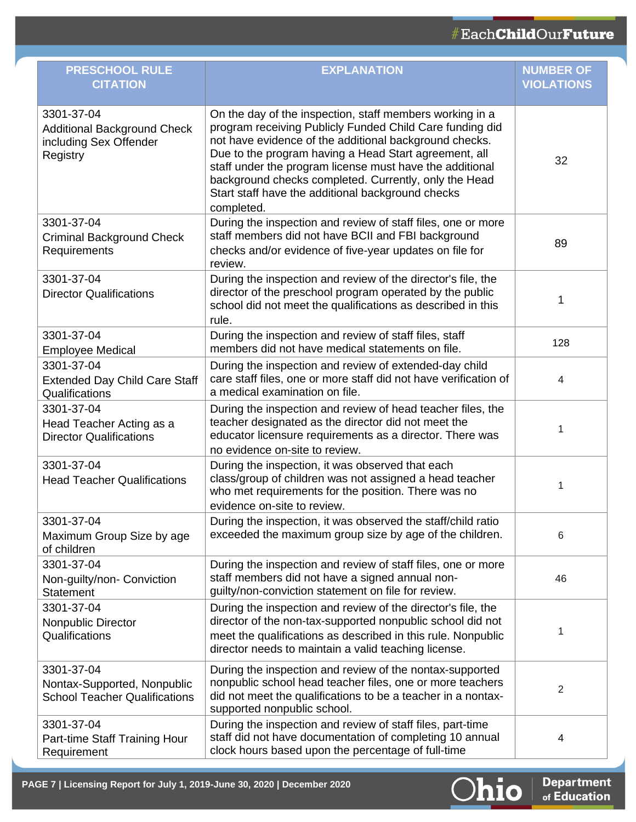| <b>PRESCHOOL RULE</b><br><b>CITATION</b>                                               | <b>EXPLANATION</b>                                                                                                                                                                                                                                                                                                                                                                                                              | <b>NUMBER OF</b><br><b>VIOLATIONS</b> |
|----------------------------------------------------------------------------------------|---------------------------------------------------------------------------------------------------------------------------------------------------------------------------------------------------------------------------------------------------------------------------------------------------------------------------------------------------------------------------------------------------------------------------------|---------------------------------------|
| 3301-37-04<br><b>Additional Background Check</b><br>including Sex Offender<br>Registry | On the day of the inspection, staff members working in a<br>program receiving Publicly Funded Child Care funding did<br>not have evidence of the additional background checks.<br>Due to the program having a Head Start agreement, all<br>staff under the program license must have the additional<br>background checks completed. Currently, only the Head<br>Start staff have the additional background checks<br>completed. | 32                                    |
| 3301-37-04<br><b>Criminal Background Check</b><br>Requirements                         | During the inspection and review of staff files, one or more<br>staff members did not have BCII and FBI background<br>checks and/or evidence of five-year updates on file for<br>review.                                                                                                                                                                                                                                        | 89                                    |
| 3301-37-04<br><b>Director Qualifications</b>                                           | During the inspection and review of the director's file, the<br>director of the preschool program operated by the public<br>school did not meet the qualifications as described in this<br>rule.                                                                                                                                                                                                                                | 1                                     |
| 3301-37-04<br><b>Employee Medical</b>                                                  | During the inspection and review of staff files, staff<br>members did not have medical statements on file.                                                                                                                                                                                                                                                                                                                      | 128                                   |
| 3301-37-04<br><b>Extended Day Child Care Staff</b><br>Qualifications                   | During the inspection and review of extended-day child<br>care staff files, one or more staff did not have verification of<br>a medical examination on file.                                                                                                                                                                                                                                                                    | 4                                     |
| 3301-37-04<br>Head Teacher Acting as a<br><b>Director Qualifications</b>               | During the inspection and review of head teacher files, the<br>teacher designated as the director did not meet the<br>educator licensure requirements as a director. There was<br>no evidence on-site to review.                                                                                                                                                                                                                | 1                                     |
| 3301-37-04<br><b>Head Teacher Qualifications</b>                                       | During the inspection, it was observed that each<br>class/group of children was not assigned a head teacher<br>who met requirements for the position. There was no<br>evidence on-site to review.                                                                                                                                                                                                                               | 1                                     |
| 3301-37-04<br>Maximum Group Size by age<br>of children                                 | During the inspection, it was observed the staff/child ratio<br>exceeded the maximum group size by age of the children.                                                                                                                                                                                                                                                                                                         | 6                                     |
| 3301-37-04<br>Non-guilty/non- Conviction<br><b>Statement</b>                           | During the inspection and review of staff files, one or more<br>staff members did not have a signed annual non-<br>guilty/non-conviction statement on file for review.                                                                                                                                                                                                                                                          | 46                                    |
| 3301-37-04<br>Nonpublic Director<br>Qualifications                                     | During the inspection and review of the director's file, the<br>director of the non-tax-supported nonpublic school did not<br>meet the qualifications as described in this rule. Nonpublic<br>director needs to maintain a valid teaching license.                                                                                                                                                                              | 1                                     |
| 3301-37-04<br>Nontax-Supported, Nonpublic<br><b>School Teacher Qualifications</b>      | During the inspection and review of the nontax-supported<br>nonpublic school head teacher files, one or more teachers<br>did not meet the qualifications to be a teacher in a nontax-<br>supported nonpublic school.                                                                                                                                                                                                            | 2                                     |
| 3301-37-04<br>Part-time Staff Training Hour<br>Requirement                             | During the inspection and review of staff files, part-time<br>staff did not have documentation of completing 10 annual<br>clock hours based upon the percentage of full-time                                                                                                                                                                                                                                                    | 4                                     |



Department<br>of Education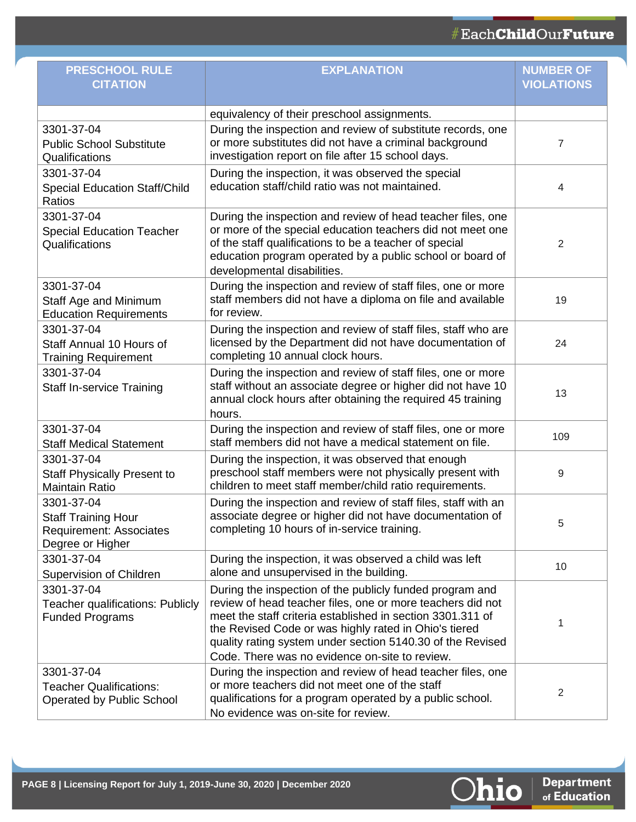| <b>PRESCHOOL RULE</b><br><b>CITATION</b>                                                       | <b>EXPLANATION</b>                                                                                                                                                                                                                                                                                                                                            | <b>NUMBER OF</b><br><b>VIOLATIONS</b> |
|------------------------------------------------------------------------------------------------|---------------------------------------------------------------------------------------------------------------------------------------------------------------------------------------------------------------------------------------------------------------------------------------------------------------------------------------------------------------|---------------------------------------|
|                                                                                                | equivalency of their preschool assignments.                                                                                                                                                                                                                                                                                                                   |                                       |
| 3301-37-04<br><b>Public School Substitute</b><br>Qualifications                                | During the inspection and review of substitute records, one<br>or more substitutes did not have a criminal background<br>investigation report on file after 15 school days.                                                                                                                                                                                   | 7                                     |
| 3301-37-04<br><b>Special Education Staff/Child</b><br>Ratios                                   | During the inspection, it was observed the special<br>education staff/child ratio was not maintained.                                                                                                                                                                                                                                                         | 4                                     |
| 3301-37-04<br><b>Special Education Teacher</b><br>Qualifications                               | During the inspection and review of head teacher files, one<br>or more of the special education teachers did not meet one<br>of the staff qualifications to be a teacher of special<br>education program operated by a public school or board of<br>developmental disabilities.                                                                               | 2                                     |
| 3301-37-04<br>Staff Age and Minimum<br><b>Education Requirements</b>                           | During the inspection and review of staff files, one or more<br>staff members did not have a diploma on file and available<br>for review.                                                                                                                                                                                                                     | 19                                    |
| 3301-37-04<br>Staff Annual 10 Hours of<br><b>Training Requirement</b>                          | During the inspection and review of staff files, staff who are<br>licensed by the Department did not have documentation of<br>completing 10 annual clock hours.                                                                                                                                                                                               | 24                                    |
| 3301-37-04<br><b>Staff In-service Training</b>                                                 | During the inspection and review of staff files, one or more<br>staff without an associate degree or higher did not have 10<br>annual clock hours after obtaining the required 45 training<br>hours.                                                                                                                                                          | 13                                    |
| 3301-37-04<br><b>Staff Medical Statement</b>                                                   | During the inspection and review of staff files, one or more<br>staff members did not have a medical statement on file.                                                                                                                                                                                                                                       | 109                                   |
| 3301-37-04<br><b>Staff Physically Present to</b><br><b>Maintain Ratio</b>                      | During the inspection, it was observed that enough<br>preschool staff members were not physically present with<br>children to meet staff member/child ratio requirements.                                                                                                                                                                                     | 9                                     |
| 3301-37-04<br><b>Staff Training Hour</b><br><b>Requirement: Associates</b><br>Degree or Higher | During the inspection and review of staff files, staff with an<br>associate degree or higher did not have documentation of<br>completing 10 hours of in-service training.                                                                                                                                                                                     | 5                                     |
| 3301-37-04<br>Supervision of Children                                                          | During the inspection, it was observed a child was left<br>alone and unsupervised in the building.                                                                                                                                                                                                                                                            | 10                                    |
| 3301-37-04<br>Teacher qualifications: Publicly<br><b>Funded Programs</b>                       | During the inspection of the publicly funded program and<br>review of head teacher files, one or more teachers did not<br>meet the staff criteria established in section 3301.311 of<br>the Revised Code or was highly rated in Ohio's tiered<br>quality rating system under section 5140.30 of the Revised<br>Code. There was no evidence on-site to review. | 1                                     |
| 3301-37-04<br><b>Teacher Qualifications:</b><br>Operated by Public School                      | During the inspection and review of head teacher files, one<br>or more teachers did not meet one of the staff<br>qualifications for a program operated by a public school.<br>No evidence was on-site for review.                                                                                                                                             | $\overline{2}$                        |

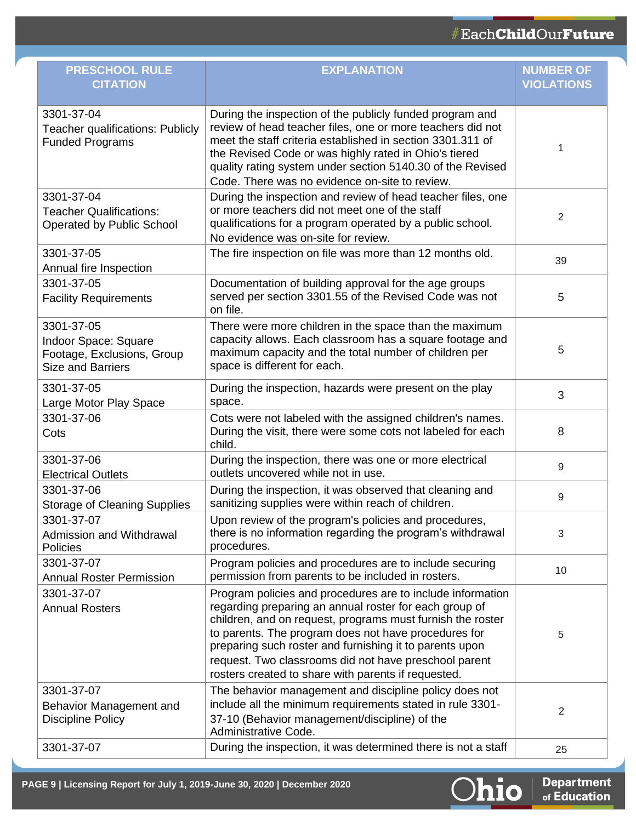| <b>PRESCHOOL RULE</b><br><b>CITATION</b>                                                     | <b>EXPLANATION</b>                                                                                                                                                                                                                                                                                                                                                                                                    | <b>NUMBER OF</b><br><b>VIOLATIONS</b> |
|----------------------------------------------------------------------------------------------|-----------------------------------------------------------------------------------------------------------------------------------------------------------------------------------------------------------------------------------------------------------------------------------------------------------------------------------------------------------------------------------------------------------------------|---------------------------------------|
| 3301-37-04<br>Teacher qualifications: Publicly<br><b>Funded Programs</b>                     | During the inspection of the publicly funded program and<br>review of head teacher files, one or more teachers did not<br>meet the staff criteria established in section 3301.311 of<br>the Revised Code or was highly rated in Ohio's tiered<br>quality rating system under section 5140.30 of the Revised<br>Code. There was no evidence on-site to review.                                                         | 1                                     |
| 3301-37-04<br><b>Teacher Qualifications:</b><br><b>Operated by Public School</b>             | During the inspection and review of head teacher files, one<br>or more teachers did not meet one of the staff<br>qualifications for a program operated by a public school.<br>No evidence was on-site for review.                                                                                                                                                                                                     | $\overline{2}$                        |
| 3301-37-05<br>Annual fire Inspection                                                         | The fire inspection on file was more than 12 months old.                                                                                                                                                                                                                                                                                                                                                              | 39                                    |
| 3301-37-05<br><b>Facility Requirements</b>                                                   | Documentation of building approval for the age groups<br>served per section 3301.55 of the Revised Code was not<br>on file.                                                                                                                                                                                                                                                                                           | 5                                     |
| 3301-37-05<br>Indoor Space: Square<br>Footage, Exclusions, Group<br><b>Size and Barriers</b> | There were more children in the space than the maximum<br>capacity allows. Each classroom has a square footage and<br>maximum capacity and the total number of children per<br>space is different for each.                                                                                                                                                                                                           | 5                                     |
| 3301-37-05<br>Large Motor Play Space                                                         | During the inspection, hazards were present on the play<br>space.                                                                                                                                                                                                                                                                                                                                                     | 3                                     |
| 3301-37-06<br>Cots                                                                           | Cots were not labeled with the assigned children's names.<br>During the visit, there were some cots not labeled for each<br>child.                                                                                                                                                                                                                                                                                    | 8                                     |
| 3301-37-06<br><b>Electrical Outlets</b>                                                      | During the inspection, there was one or more electrical<br>outlets uncovered while not in use.                                                                                                                                                                                                                                                                                                                        | 9                                     |
| 3301-37-06<br><b>Storage of Cleaning Supplies</b>                                            | During the inspection, it was observed that cleaning and<br>sanitizing supplies were within reach of children.                                                                                                                                                                                                                                                                                                        | 9                                     |
| 3301-37-07<br>Admission and Withdrawal<br><b>Policies</b>                                    | Upon review of the program's policies and procedures,<br>there is no information regarding the program's withdrawal<br>procedures.                                                                                                                                                                                                                                                                                    | 3                                     |
| 3301-37-07<br><b>Annual Roster Permission</b>                                                | Program policies and procedures are to include securing<br>permission from parents to be included in rosters.                                                                                                                                                                                                                                                                                                         | 10                                    |
| 3301-37-07<br><b>Annual Rosters</b>                                                          | Program policies and procedures are to include information<br>regarding preparing an annual roster for each group of<br>children, and on request, programs must furnish the roster<br>to parents. The program does not have procedures for<br>preparing such roster and furnishing it to parents upon<br>request. Two classrooms did not have preschool parent<br>rosters created to share with parents if requested. | 5                                     |
| 3301-37-07<br>Behavior Management and<br><b>Discipline Policy</b>                            | The behavior management and discipline policy does not<br>include all the minimum requirements stated in rule 3301-<br>37-10 (Behavior management/discipline) of the<br>Administrative Code.                                                                                                                                                                                                                          | $\overline{2}$                        |
| 3301-37-07                                                                                   | During the inspection, it was determined there is not a staff                                                                                                                                                                                                                                                                                                                                                         | 25                                    |



Department<br>of Education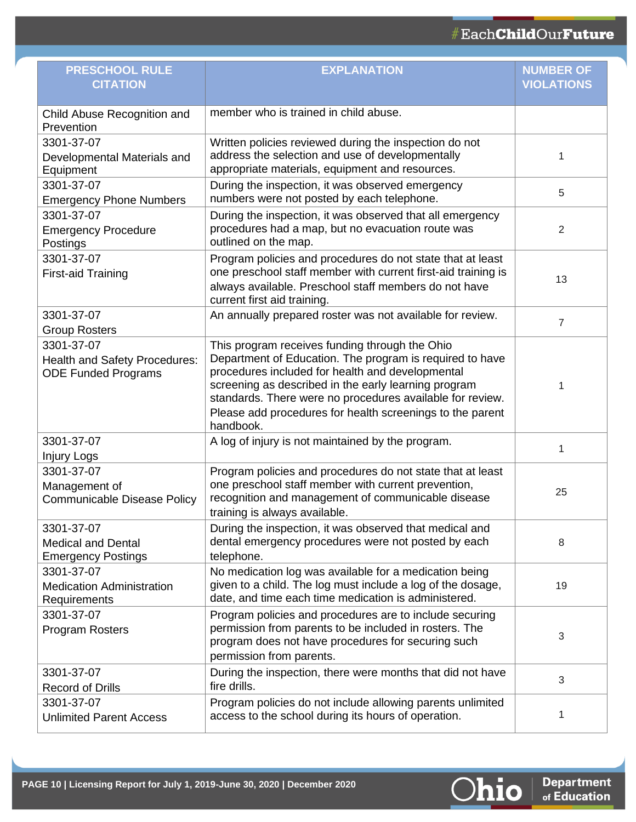| <b>PRESCHOOL RULE</b><br><b>CITATION</b>                                         | <b>EXPLANATION</b>                                                                                                                                                                                                                                                                                                                                            | <b>NUMBER OF</b><br><b>VIOLATIONS</b> |
|----------------------------------------------------------------------------------|---------------------------------------------------------------------------------------------------------------------------------------------------------------------------------------------------------------------------------------------------------------------------------------------------------------------------------------------------------------|---------------------------------------|
| Child Abuse Recognition and<br>Prevention                                        | member who is trained in child abuse.                                                                                                                                                                                                                                                                                                                         |                                       |
| 3301-37-07<br>Developmental Materials and<br>Equipment                           | Written policies reviewed during the inspection do not<br>address the selection and use of developmentally<br>appropriate materials, equipment and resources.                                                                                                                                                                                                 | 1                                     |
| 3301-37-07<br><b>Emergency Phone Numbers</b>                                     | During the inspection, it was observed emergency<br>numbers were not posted by each telephone.                                                                                                                                                                                                                                                                | 5                                     |
| 3301-37-07<br><b>Emergency Procedure</b><br>Postings                             | During the inspection, it was observed that all emergency<br>procedures had a map, but no evacuation route was<br>outlined on the map.                                                                                                                                                                                                                        | $\overline{2}$                        |
| 3301-37-07<br><b>First-aid Training</b>                                          | Program policies and procedures do not state that at least<br>one preschool staff member with current first-aid training is<br>always available. Preschool staff members do not have<br>current first aid training.                                                                                                                                           | 13                                    |
| 3301-37-07<br><b>Group Rosters</b>                                               | An annually prepared roster was not available for review.                                                                                                                                                                                                                                                                                                     | 7                                     |
| 3301-37-07<br><b>Health and Safety Procedures:</b><br><b>ODE Funded Programs</b> | This program receives funding through the Ohio<br>Department of Education. The program is required to have<br>procedures included for health and developmental<br>screening as described in the early learning program<br>standards. There were no procedures available for review.<br>Please add procedures for health screenings to the parent<br>handbook. | 1                                     |
| 3301-37-07<br><b>Injury Logs</b>                                                 | A log of injury is not maintained by the program.                                                                                                                                                                                                                                                                                                             | 1                                     |
| 3301-37-07<br>Management of<br><b>Communicable Disease Policy</b>                | Program policies and procedures do not state that at least<br>one preschool staff member with current prevention,<br>recognition and management of communicable disease<br>training is always available.                                                                                                                                                      | 25                                    |
| 3301-37-07<br><b>Medical and Dental</b><br><b>Emergency Postings</b>             | During the inspection, it was observed that medical and<br>dental emergency procedures were not posted by each<br>telephone.                                                                                                                                                                                                                                  | 8                                     |
| 3301-37-07<br><b>Medication Administration</b><br>Requirements                   | No medication log was available for a medication being<br>given to a child. The log must include a log of the dosage,<br>date, and time each time medication is administered.                                                                                                                                                                                 | 19                                    |
| 3301-37-07<br><b>Program Rosters</b>                                             | Program policies and procedures are to include securing<br>permission from parents to be included in rosters. The<br>program does not have procedures for securing such<br>permission from parents.                                                                                                                                                           | 3                                     |
| 3301-37-07<br><b>Record of Drills</b>                                            | During the inspection, there were months that did not have<br>fire drills.                                                                                                                                                                                                                                                                                    | $\sqrt{3}$                            |
| 3301-37-07<br><b>Unlimited Parent Access</b>                                     | Program policies do not include allowing parents unlimited<br>access to the school during its hours of operation.                                                                                                                                                                                                                                             | 1                                     |

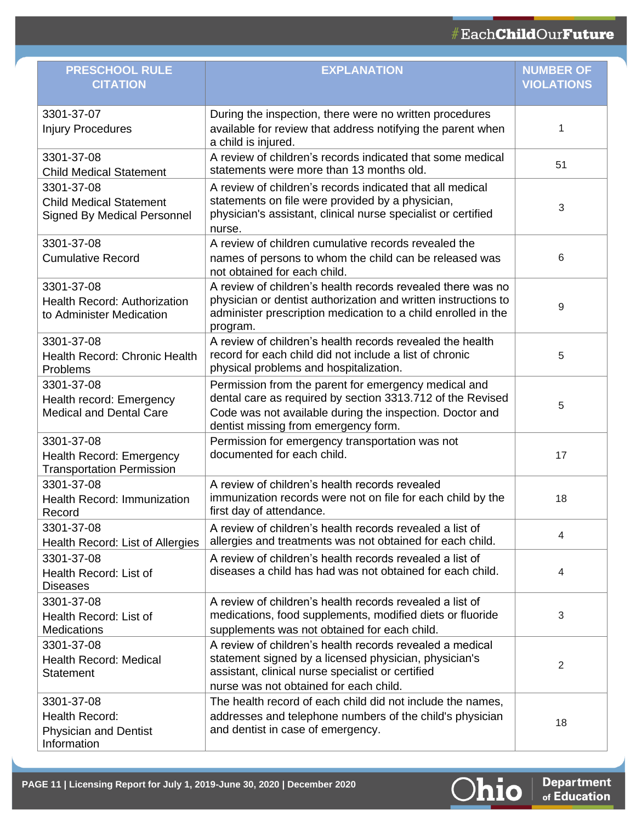## #EachChildOurFuture

| <b>PRESCHOOL RULE</b><br><b>CITATION</b>                                           | <b>EXPLANATION</b>                                                                                                                                                                                                     | <b>NUMBER OF</b><br><b>VIOLATIONS</b> |
|------------------------------------------------------------------------------------|------------------------------------------------------------------------------------------------------------------------------------------------------------------------------------------------------------------------|---------------------------------------|
| 3301-37-07<br><b>Injury Procedures</b>                                             | During the inspection, there were no written procedures<br>available for review that address notifying the parent when<br>a child is injured.                                                                          | 1                                     |
| 3301-37-08<br><b>Child Medical Statement</b>                                       | A review of children's records indicated that some medical<br>statements were more than 13 months old.                                                                                                                 | 51                                    |
| 3301-37-08<br><b>Child Medical Statement</b><br><b>Signed By Medical Personnel</b> | A review of children's records indicated that all medical<br>statements on file were provided by a physician,<br>physician's assistant, clinical nurse specialist or certified<br>nurse.                               | 3                                     |
| 3301-37-08<br><b>Cumulative Record</b>                                             | A review of children cumulative records revealed the<br>names of persons to whom the child can be released was<br>not obtained for each child.                                                                         | 6                                     |
| 3301-37-08<br><b>Health Record: Authorization</b><br>to Administer Medication      | A review of children's health records revealed there was no<br>physician or dentist authorization and written instructions to<br>administer prescription medication to a child enrolled in the<br>program.             | 9                                     |
| 3301-37-08<br>Health Record: Chronic Health<br>Problems                            | A review of children's health records revealed the health<br>record for each child did not include a list of chronic<br>physical problems and hospitalization.                                                         | 5                                     |
| 3301-37-08<br>Health record: Emergency<br><b>Medical and Dental Care</b>           | Permission from the parent for emergency medical and<br>dental care as required by section 3313.712 of the Revised<br>Code was not available during the inspection. Doctor and<br>dentist missing from emergency form. | 5                                     |
| 3301-37-08<br><b>Health Record: Emergency</b><br><b>Transportation Permission</b>  | Permission for emergency transportation was not<br>documented for each child.                                                                                                                                          | 17                                    |
| 3301-37-08<br>Health Record: Immunization<br>Record                                | A review of children's health records revealed<br>immunization records were not on file for each child by the<br>first day of attendance.                                                                              | 18                                    |
| 3301-37-08<br>Health Record: List of Allergies                                     | A review of children's health records revealed a list of<br>allergies and treatments was not obtained for each child.                                                                                                  | 4                                     |
| 3301-37-08<br>Health Record: List of<br><b>Diseases</b>                            | A review of children's health records revealed a list of<br>diseases a child has had was not obtained for each child.                                                                                                  | 4                                     |
| 3301-37-08<br>Health Record: List of<br><b>Medications</b>                         | A review of children's health records revealed a list of<br>medications, food supplements, modified diets or fluoride<br>supplements was not obtained for each child.                                                  | 3                                     |
| 3301-37-08<br><b>Health Record: Medical</b><br><b>Statement</b>                    | A review of children's health records revealed a medical<br>statement signed by a licensed physician, physician's<br>assistant, clinical nurse specialist or certified<br>nurse was not obtained for each child.       | 2                                     |
| 3301-37-08<br>Health Record:<br><b>Physician and Dentist</b><br>Information        | The health record of each child did not include the names,<br>addresses and telephone numbers of the child's physician<br>and dentist in case of emergency.                                                            | 18                                    |

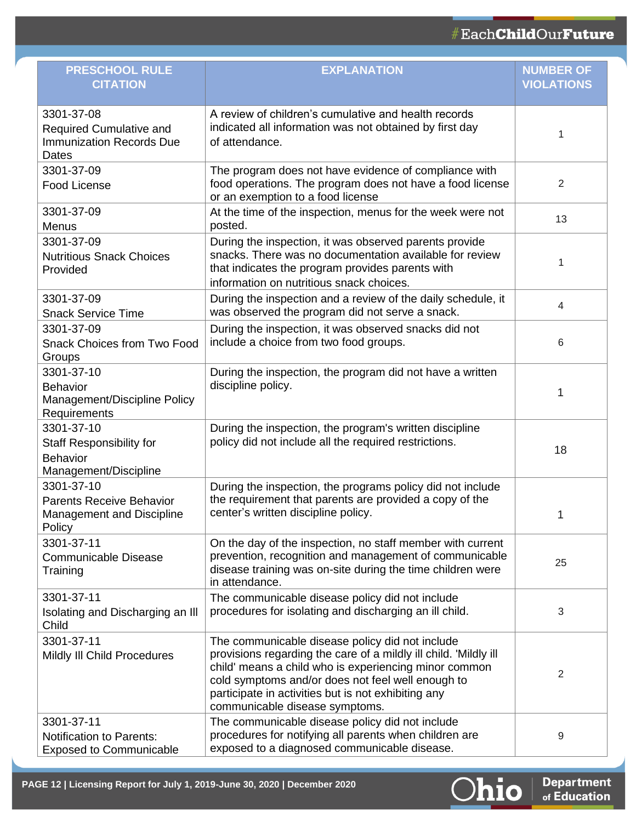| <b>PRESCHOOL RULE</b><br><b>CITATION</b>                                                    | <b>EXPLANATION</b>                                                                                                                                                                                                                                                                                                         | <b>NUMBER OF</b><br><b>VIOLATIONS</b> |
|---------------------------------------------------------------------------------------------|----------------------------------------------------------------------------------------------------------------------------------------------------------------------------------------------------------------------------------------------------------------------------------------------------------------------------|---------------------------------------|
| 3301-37-08<br><b>Required Cumulative and</b><br><b>Immunization Records Due</b><br>Dates    | A review of children's cumulative and health records<br>indicated all information was not obtained by first day<br>of attendance.                                                                                                                                                                                          | 1                                     |
| 3301-37-09<br>Food License                                                                  | The program does not have evidence of compliance with<br>food operations. The program does not have a food license<br>or an exemption to a food license                                                                                                                                                                    | 2                                     |
| 3301-37-09<br>Menus                                                                         | At the time of the inspection, menus for the week were not<br>posted.                                                                                                                                                                                                                                                      | 13                                    |
| 3301-37-09<br><b>Nutritious Snack Choices</b><br>Provided                                   | During the inspection, it was observed parents provide<br>snacks. There was no documentation available for review<br>that indicates the program provides parents with<br>information on nutritious snack choices.                                                                                                          | 1                                     |
| 3301-37-09<br><b>Snack Service Time</b>                                                     | During the inspection and a review of the daily schedule, it<br>was observed the program did not serve a snack.                                                                                                                                                                                                            | 4                                     |
| 3301-37-09<br><b>Snack Choices from Two Food</b><br>Groups                                  | During the inspection, it was observed snacks did not<br>include a choice from two food groups.                                                                                                                                                                                                                            | 6                                     |
| 3301-37-10<br>Behavior<br>Management/Discipline Policy<br>Requirements                      | During the inspection, the program did not have a written<br>discipline policy.                                                                                                                                                                                                                                            | 1                                     |
| 3301-37-10<br><b>Staff Responsibility for</b><br><b>Behavior</b><br>Management/Discipline   | During the inspection, the program's written discipline<br>policy did not include all the required restrictions.                                                                                                                                                                                                           | 18                                    |
| 3301-37-10<br><b>Parents Receive Behavior</b><br><b>Management and Discipline</b><br>Policy | During the inspection, the programs policy did not include<br>the requirement that parents are provided a copy of the<br>center's written discipline policy.                                                                                                                                                               | 1                                     |
| 3301-37-11<br><b>Communicable Disease</b><br>Training                                       | On the day of the inspection, no staff member with current<br>prevention, recognition and management of communicable<br>disease training was on-site during the time children were<br>in attendance.                                                                                                                       | 25                                    |
| 3301-37-11<br>Isolating and Discharging an III<br>Child                                     | The communicable disease policy did not include<br>procedures for isolating and discharging an ill child.                                                                                                                                                                                                                  | 3                                     |
| 3301-37-11<br>Mildly III Child Procedures                                                   | The communicable disease policy did not include<br>provisions regarding the care of a mildly ill child. 'Mildly ill<br>child' means a child who is experiencing minor common<br>cold symptoms and/or does not feel well enough to<br>participate in activities but is not exhibiting any<br>communicable disease symptoms. | 2                                     |
| 3301-37-11<br><b>Notification to Parents:</b><br><b>Exposed to Communicable</b>             | The communicable disease policy did not include<br>procedures for notifying all parents when children are<br>exposed to a diagnosed communicable disease.                                                                                                                                                                  | 9                                     |

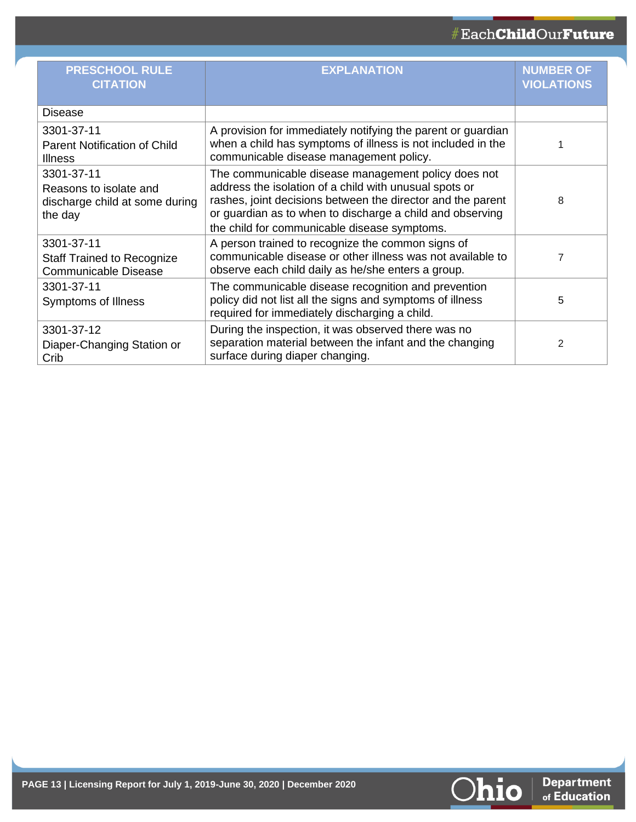## #EachChildOurFuture

| <b>PRESCHOOL RULE</b><br><b>CITATION</b>                                          | <b>EXPLANATION</b>                                                                                                                                                                                                                                                                        | <b>NUMBER OF</b><br><b>VIOLATIONS</b> |
|-----------------------------------------------------------------------------------|-------------------------------------------------------------------------------------------------------------------------------------------------------------------------------------------------------------------------------------------------------------------------------------------|---------------------------------------|
| Disease                                                                           |                                                                                                                                                                                                                                                                                           |                                       |
| 3301-37-11<br><b>Parent Notification of Child</b><br><b>Illness</b>               | A provision for immediately notifying the parent or guardian<br>when a child has symptoms of illness is not included in the<br>communicable disease management policy.                                                                                                                    |                                       |
| 3301-37-11<br>Reasons to isolate and<br>discharge child at some during<br>the day | The communicable disease management policy does not<br>address the isolation of a child with unusual spots or<br>rashes, joint decisions between the director and the parent<br>or guardian as to when to discharge a child and observing<br>the child for communicable disease symptoms. | 8                                     |
| 3301-37-11<br><b>Staff Trained to Recognize</b><br><b>Communicable Disease</b>    | A person trained to recognize the common signs of<br>communicable disease or other illness was not available to<br>observe each child daily as he/she enters a group.                                                                                                                     | 7                                     |
| 3301-37-11<br>Symptoms of Illness                                                 | The communicable disease recognition and prevention<br>policy did not list all the signs and symptoms of illness<br>required for immediately discharging a child.                                                                                                                         | 5                                     |
| 3301-37-12<br>Diaper-Changing Station or<br>Crib                                  | During the inspection, it was observed there was no<br>separation material between the infant and the changing<br>surface during diaper changing.                                                                                                                                         | 2                                     |

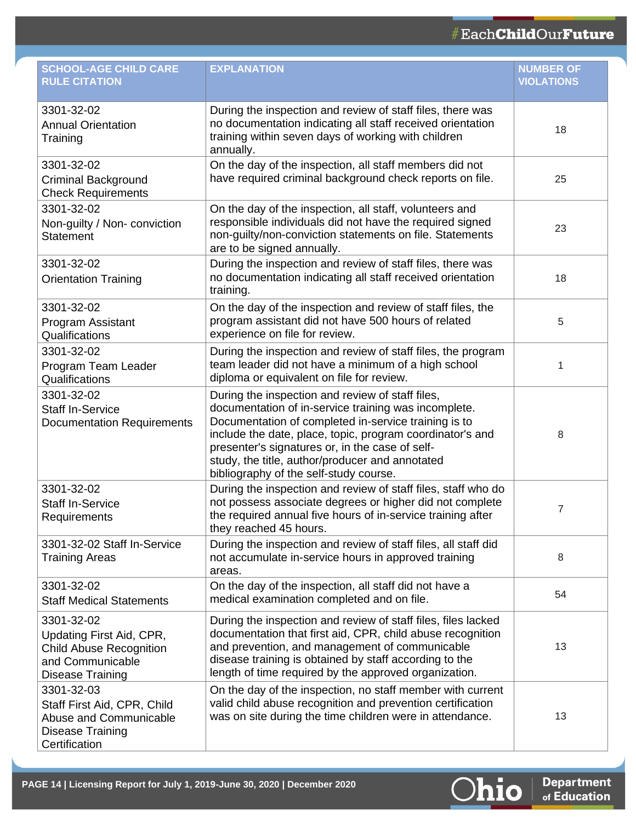| <b>SCHOOL-AGE CHILD CARE</b><br><b>RULE CITATION</b>                                                                    | <b>EXPLANATION</b>                                                                                                                                                                                                                                                                                                                                                            | <b>NUMBER OF</b><br><b>VIOLATIONS</b> |
|-------------------------------------------------------------------------------------------------------------------------|-------------------------------------------------------------------------------------------------------------------------------------------------------------------------------------------------------------------------------------------------------------------------------------------------------------------------------------------------------------------------------|---------------------------------------|
| 3301-32-02<br><b>Annual Orientation</b><br>Training                                                                     | During the inspection and review of staff files, there was<br>no documentation indicating all staff received orientation<br>training within seven days of working with children<br>annually.                                                                                                                                                                                  | 18                                    |
| 3301-32-02<br><b>Criminal Background</b><br><b>Check Requirements</b>                                                   | On the day of the inspection, all staff members did not<br>have required criminal background check reports on file.                                                                                                                                                                                                                                                           | 25                                    |
| 3301-32-02<br>Non-guilty / Non-conviction<br><b>Statement</b>                                                           | On the day of the inspection, all staff, volunteers and<br>responsible individuals did not have the required signed<br>non-guilty/non-conviction statements on file. Statements<br>are to be signed annually.                                                                                                                                                                 | 23                                    |
| 3301-32-02<br><b>Orientation Training</b>                                                                               | During the inspection and review of staff files, there was<br>no documentation indicating all staff received orientation<br>training.                                                                                                                                                                                                                                         | 18                                    |
| 3301-32-02<br>Program Assistant<br>Qualifications                                                                       | On the day of the inspection and review of staff files, the<br>program assistant did not have 500 hours of related<br>experience on file for review.                                                                                                                                                                                                                          | 5                                     |
| 3301-32-02<br>Program Team Leader<br>Qualifications                                                                     | During the inspection and review of staff files, the program<br>team leader did not have a minimum of a high school<br>diploma or equivalent on file for review.                                                                                                                                                                                                              | 1                                     |
| 3301-32-02<br><b>Staff In-Service</b><br><b>Documentation Requirements</b>                                              | During the inspection and review of staff files,<br>documentation of in-service training was incomplete.<br>Documentation of completed in-service training is to<br>include the date, place, topic, program coordinator's and<br>presenter's signatures or, in the case of self-<br>study, the title, author/producer and annotated<br>bibliography of the self-study course. | 8                                     |
| 3301-32-02<br><b>Staff In-Service</b><br>Requirements                                                                   | During the inspection and review of staff files, staff who do<br>not possess associate degrees or higher did not complete<br>the required annual five hours of in-service training after<br>they reached 45 hours.                                                                                                                                                            | 7                                     |
| 3301-32-02 Staff In-Service<br><b>Training Areas</b>                                                                    | During the inspection and review of staff files, all staff did<br>not accumulate in-service hours in approved training<br>areas.                                                                                                                                                                                                                                              | 8                                     |
| 3301-32-02<br><b>Staff Medical Statements</b>                                                                           | On the day of the inspection, all staff did not have a<br>medical examination completed and on file.                                                                                                                                                                                                                                                                          | 54                                    |
| 3301-32-02<br>Updating First Aid, CPR,<br><b>Child Abuse Recognition</b><br>and Communicable<br><b>Disease Training</b> | During the inspection and review of staff files, files lacked<br>documentation that first aid, CPR, child abuse recognition<br>and prevention, and management of communicable<br>disease training is obtained by staff according to the<br>length of time required by the approved organization.                                                                              | 13                                    |
| 3301-32-03<br>Staff First Aid, CPR, Child<br>Abuse and Communicable<br>Disease Training<br>Certification                | On the day of the inspection, no staff member with current<br>valid child abuse recognition and prevention certification<br>was on site during the time children were in attendance.                                                                                                                                                                                          | 13                                    |

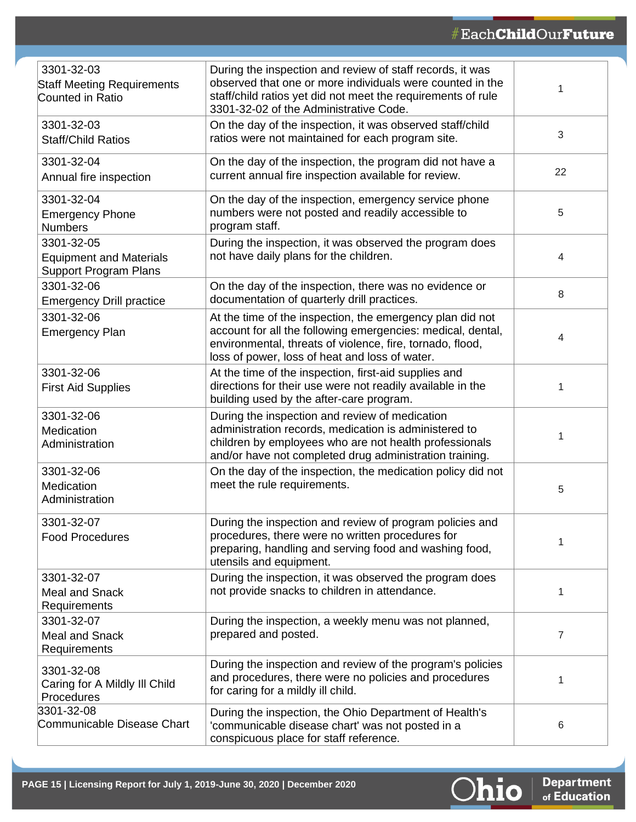| 3301-32-03<br><b>Staff Meeting Requirements</b><br>Counted in Ratio          | During the inspection and review of staff records, it was<br>observed that one or more individuals were counted in the<br>staff/child ratios yet did not meet the requirements of rule<br>3301-32-02 of the Administrative Code.        | 1              |
|------------------------------------------------------------------------------|-----------------------------------------------------------------------------------------------------------------------------------------------------------------------------------------------------------------------------------------|----------------|
| 3301-32-03<br><b>Staff/Child Ratios</b>                                      | On the day of the inspection, it was observed staff/child<br>ratios were not maintained for each program site.                                                                                                                          | $\sqrt{3}$     |
| 3301-32-04<br>Annual fire inspection                                         | On the day of the inspection, the program did not have a<br>current annual fire inspection available for review.                                                                                                                        | 22             |
| 3301-32-04<br><b>Emergency Phone</b><br><b>Numbers</b>                       | On the day of the inspection, emergency service phone<br>numbers were not posted and readily accessible to<br>program staff.                                                                                                            | 5              |
| 3301-32-05<br><b>Equipment and Materials</b><br><b>Support Program Plans</b> | During the inspection, it was observed the program does<br>not have daily plans for the children.                                                                                                                                       | 4              |
| 3301-32-06<br><b>Emergency Drill practice</b>                                | On the day of the inspection, there was no evidence or<br>documentation of quarterly drill practices.                                                                                                                                   | 8              |
| 3301-32-06<br><b>Emergency Plan</b>                                          | At the time of the inspection, the emergency plan did not<br>account for all the following emergencies: medical, dental,<br>environmental, threats of violence, fire, tornado, flood,<br>loss of power, loss of heat and loss of water. | 4              |
| 3301-32-06<br><b>First Aid Supplies</b>                                      | At the time of the inspection, first-aid supplies and<br>directions for their use were not readily available in the<br>building used by the after-care program.                                                                         | 1              |
| 3301-32-06<br>Medication<br>Administration                                   | During the inspection and review of medication<br>administration records, medication is administered to<br>children by employees who are not health professionals<br>and/or have not completed drug administration training.            | 1              |
| 3301-32-06<br>Medication<br>Administration                                   | On the day of the inspection, the medication policy did not<br>meet the rule requirements.                                                                                                                                              | 5              |
| 3301-32-07<br><b>Food Procedures</b>                                         | During the inspection and review of program policies and<br>procedures, there were no written procedures for<br>preparing, handling and serving food and washing food,<br>utensils and equipment.                                       | 1              |
| 3301-32-07<br><b>Meal and Snack</b><br>Requirements                          | During the inspection, it was observed the program does<br>not provide snacks to children in attendance.                                                                                                                                | 1              |
| 3301-32-07<br><b>Meal and Snack</b><br>Requirements                          | During the inspection, a weekly menu was not planned,<br>prepared and posted.                                                                                                                                                           | $\overline{7}$ |
| 3301-32-08<br>Caring for A Mildly III Child<br>Procedures                    | During the inspection and review of the program's policies<br>and procedures, there were no policies and procedures<br>for caring for a mildly ill child.                                                                               | 1              |
| 3301-32-08<br>Communicable Disease Chart                                     | During the inspection, the Ohio Department of Health's<br>'communicable disease chart' was not posted in a<br>conspicuous place for staff reference.                                                                                    | 6              |

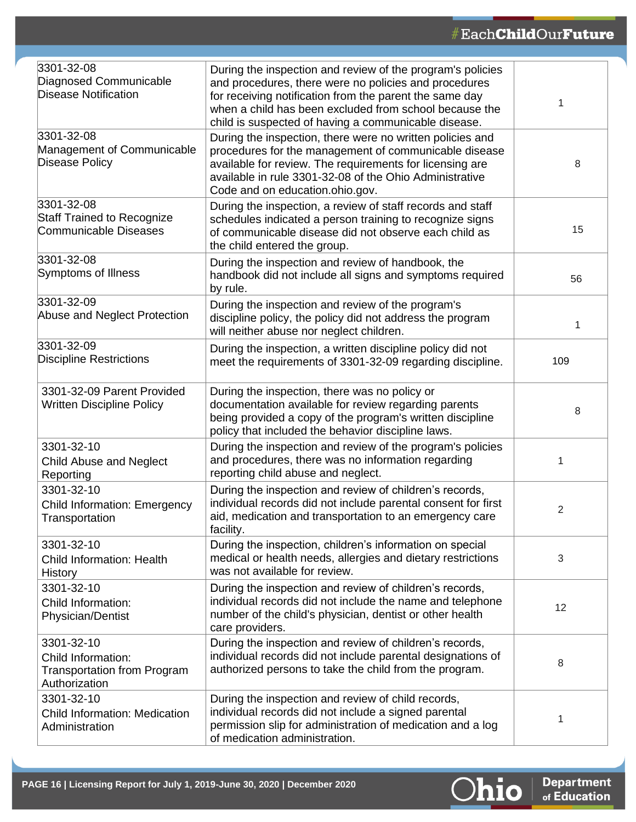| 3301-32-08<br>Diagnosed Communicable<br><b>Disease Notification</b>                     | During the inspection and review of the program's policies<br>and procedures, there were no policies and procedures<br>for receiving notification from the parent the same day<br>when a child has been excluded from school because the<br>child is suspected of having a communicable disease. |     |
|-----------------------------------------------------------------------------------------|--------------------------------------------------------------------------------------------------------------------------------------------------------------------------------------------------------------------------------------------------------------------------------------------------|-----|
| 3301-32-08<br>Management of Communicable<br>Disease Policy                              | During the inspection, there were no written policies and<br>procedures for the management of communicable disease<br>available for review. The requirements for licensing are<br>available in rule 3301-32-08 of the Ohio Administrative<br>Code and on education.ohio.gov.                     | 8   |
| 3301-32-08<br><b>Staff Trained to Recognize</b><br>Communicable Diseases                | During the inspection, a review of staff records and staff<br>schedules indicated a person training to recognize signs<br>of communicable disease did not observe each child as<br>the child entered the group.                                                                                  | 15  |
| 3301-32-08<br>Symptoms of Illness                                                       | During the inspection and review of handbook, the<br>handbook did not include all signs and symptoms required<br>by rule.                                                                                                                                                                        | 56  |
| 3301-32-09<br>Abuse and Neglect Protection                                              | During the inspection and review of the program's<br>discipline policy, the policy did not address the program<br>will neither abuse nor neglect children.                                                                                                                                       | 1   |
| 3301-32-09<br><b>Discipline Restrictions</b>                                            | During the inspection, a written discipline policy did not<br>meet the requirements of 3301-32-09 regarding discipline.                                                                                                                                                                          | 109 |
| 3301-32-09 Parent Provided<br><b>Written Discipline Policy</b>                          | During the inspection, there was no policy or<br>documentation available for review regarding parents<br>being provided a copy of the program's written discipline<br>policy that included the behavior discipline laws.                                                                         | 8   |
| 3301-32-10<br>Child Abuse and Neglect<br>Reporting                                      | During the inspection and review of the program's policies<br>and procedures, there was no information regarding<br>reporting child abuse and neglect.                                                                                                                                           | 1   |
| 3301-32-10<br><b>Child Information: Emergency</b><br>Transportation                     | During the inspection and review of children's records,<br>individual records did not include parental consent for first<br>aid, medication and transportation to an emergency care<br>facility.                                                                                                 | 2   |
| 3301-32-10<br><b>Child Information: Health</b><br>History                               | During the inspection, children's information on special<br>medical or health needs, allergies and dietary restrictions<br>was not available for review.                                                                                                                                         | 3   |
| 3301-32-10<br>Child Information:<br>Physician/Dentist                                   | During the inspection and review of children's records,<br>individual records did not include the name and telephone<br>number of the child's physician, dentist or other health<br>care providers.                                                                                              | 12  |
| 3301-32-10<br>Child Information:<br><b>Transportation from Program</b><br>Authorization | During the inspection and review of children's records,<br>individual records did not include parental designations of<br>authorized persons to take the child from the program.                                                                                                                 | 8   |
| 3301-32-10<br>Child Information: Medication<br>Administration                           | During the inspection and review of child records,<br>individual records did not include a signed parental<br>permission slip for administration of medication and a log<br>of medication administration.                                                                                        | 1   |